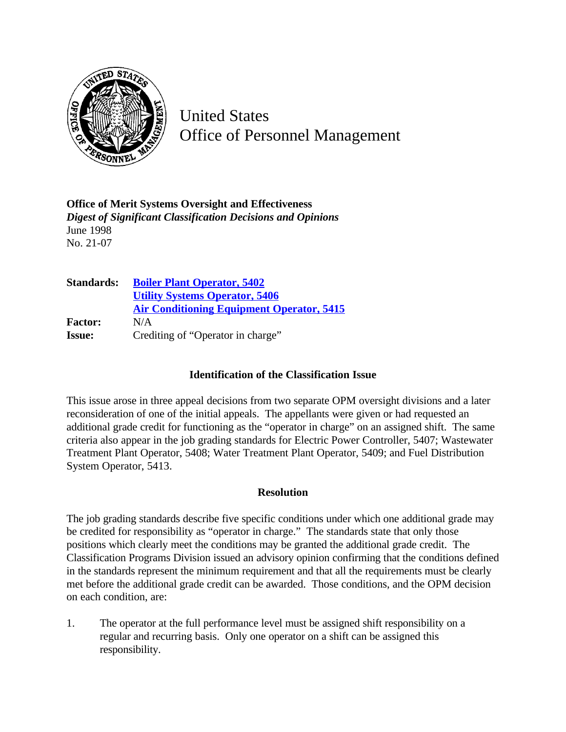

United States Office of Personnel Management

**Office of Merit Systems Oversight and Effectiveness** *Digest of Significant Classification Decisions and Opinions* June 1998 No. 21-07

| <b>Standards:</b> | <b>Boiler Plant Operator, 5402</b>               |
|-------------------|--------------------------------------------------|
|                   | <b>Utility Systems Operator, 5406</b>            |
|                   | <b>Air Conditioning Equipment Operator, 5415</b> |
| <b>Factor:</b>    | N/A                                              |
| <b>Issue:</b>     | Crediting of "Operator in charge"                |

## **Identification of the Classification Issue**

This issue arose in three appeal decisions from two separate OPM oversight divisions and a later reconsideration of one of the initial appeals. The appellants were given or had requested an additional grade credit for functioning as the "operator in charge" on an assigned shift. The same criteria also appear in the job grading standards for Electric Power Controller, 5407; Wastewater Treatment Plant Operator, 5408; Water Treatment Plant Operator, 5409; and Fuel Distribution System Operator, 5413.

## **Resolution**

The job grading standards describe five specific conditions under which one additional grade may be credited for responsibility as "operator in charge." The standards state that only those positions which clearly meet the conditions may be granted the additional grade credit. The Classification Programs Division issued an advisory opinion confirming that the conditions defined in the standards represent the minimum requirement and that all the requirements must be clearly met before the additional grade credit can be awarded. Those conditions, and the OPM decision on each condition, are:

1. The operator at the full performance level must be assigned shift responsibility on a regular and recurring basis. Only one operator on a shift can be assigned this responsibility.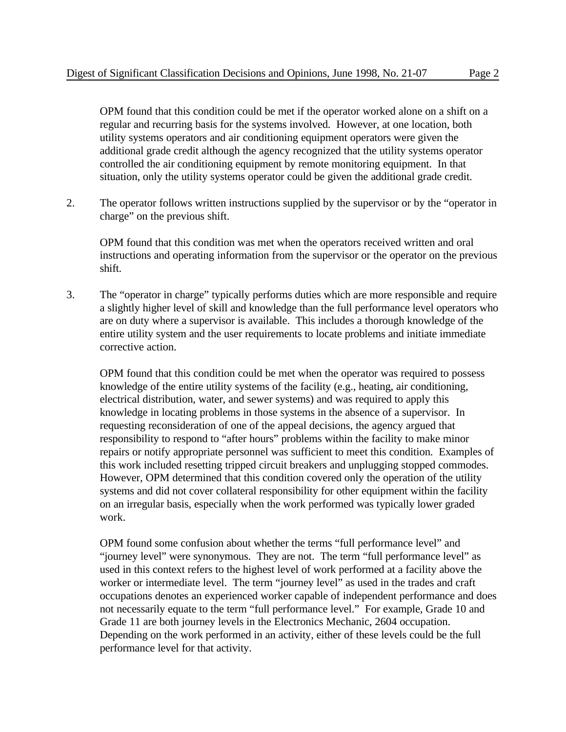OPM found that this condition could be met if the operator worked alone on a shift on a regular and recurring basis for the systems involved. However, at one location, both utility systems operators and air conditioning equipment operators were given the additional grade credit although the agency recognized that the utility systems operator controlled the air conditioning equipment by remote monitoring equipment. In that situation, only the utility systems operator could be given the additional grade credit.

2. The operator follows written instructions supplied by the supervisor or by the "operator in charge" on the previous shift.

OPM found that this condition was met when the operators received written and oral instructions and operating information from the supervisor or the operator on the previous shift.

3. The "operator in charge" typically performs duties which are more responsible and require a slightly higher level of skill and knowledge than the full performance level operators who are on duty where a supervisor is available. This includes a thorough knowledge of the entire utility system and the user requirements to locate problems and initiate immediate corrective action.

OPM found that this condition could be met when the operator was required to possess knowledge of the entire utility systems of the facility (e.g., heating, air conditioning, electrical distribution, water, and sewer systems) and was required to apply this knowledge in locating problems in those systems in the absence of a supervisor. In requesting reconsideration of one of the appeal decisions, the agency argued that responsibility to respond to "after hours" problems within the facility to make minor repairs or notify appropriate personnel was sufficient to meet this condition. Examples of this work included resetting tripped circuit breakers and unplugging stopped commodes. However, OPM determined that this condition covered only the operation of the utility systems and did not cover collateral responsibility for other equipment within the facility on an irregular basis, especially when the work performed was typically lower graded work.

OPM found some confusion about whether the terms "full performance level" and "journey level" were synonymous. They are not. The term "full performance level" as used in this context refers to the highest level of work performed at a facility above the worker or intermediate level. The term "journey level" as used in the trades and craft occupations denotes an experienced worker capable of independent performance and does not necessarily equate to the term "full performance level." For example, Grade 10 and Grade 11 are both journey levels in the Electronics Mechanic, 2604 occupation. Depending on the work performed in an activity, either of these levels could be the full performance level for that activity.